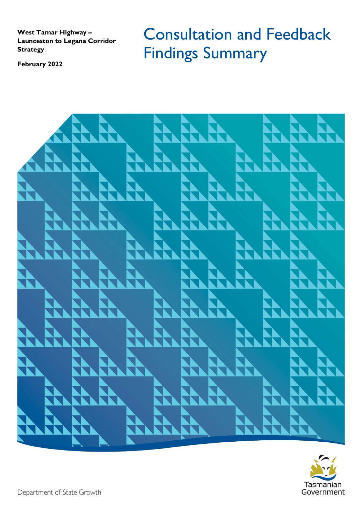**West Tamar Highway – Launceston to Legana Corridor Strategy**

**February 2022**

Consultation and Feedback Findings Summary



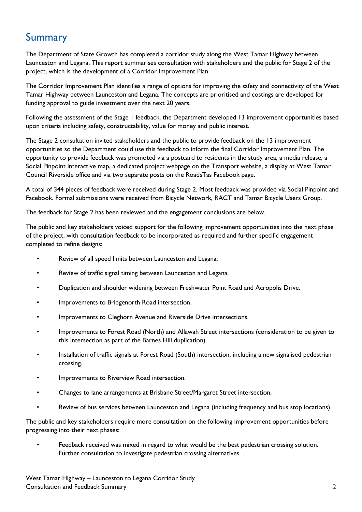## Summary

The Department of State Growth has completed a corridor study along the West Tamar Highway between Launceston and Legana. This report summarises consultation with stakeholders and the public for Stage 2 of the project, which is the development of a Corridor Improvement Plan.

The Corridor Improvement Plan identifies a range of options for improving the safety and connectivity of the West Tamar Highway between Launceston and Legana. The concepts are prioritised and costings are developed for funding approval to guide investment over the next 20 years.

Following the assessment of the Stage 1 feedback, the Department developed 13 improvement opportunities based upon criteria including safety, constructability, value for money and public interest.

The Stage 2 consultation invited stakeholders and the public to provide feedback on the 13 improvement opportunities so the Department could use this feedback to inform the final Corridor Improvement Plan. The opportunity to provide feedback was promoted via a postcard to residents in the study area, a media release, a Social Pinpoint interactive map, a dedicated project webpage on the Transport website, a display at West Tamar Council Riverside office and via two separate posts on the RoadsTas Facebook page.

A total of 344 pieces of feedback were received during Stage 2. Most feedback was provided via Social Pinpoint and Facebook. Formal submissions were received from Bicycle Network, RACT and Tamar Bicycle Users Group.

The feedback for Stage 2 has been reviewed and the engagement conclusions are below.

The public and key stakeholders voiced support for the following improvement opportunities into the next phase of the project, with consultation feedback to be incorporated as required and further specific engagement completed to refine designs:

- Review of all speed limits between Launceston and Legana.
- Review of traffic signal timing between Launceston and Legana.
- Duplication and shoulder widening between Freshwater Point Road and Acropolis Drive.
- Improvements to Bridgenorth Road intersection.
- Improvements to Cleghorn Avenue and Riverside Drive intersections.
- Improvements to Forest Road (North) and Allawah Street intersections (consideration to be given to this intersection as part of the Barnes Hill duplication).
- Installation of traffic signals at Forest Road (South) intersection, including a new signalised pedestrian crossing.
- Improvements to Riverview Road intersection.
- Changes to lane arrangements at Brisbane Street/Margaret Street intersection.
- Review of bus services between Launceston and Legana (including frequency and bus stop locations).

The public and key stakeholders require more consultation on the following improvement opportunities before progressing into their next phases:

• Feedback received was mixed in regard to what would be the best pedestrian crossing solution. Further consultation to investigate pedestrian crossing alternatives.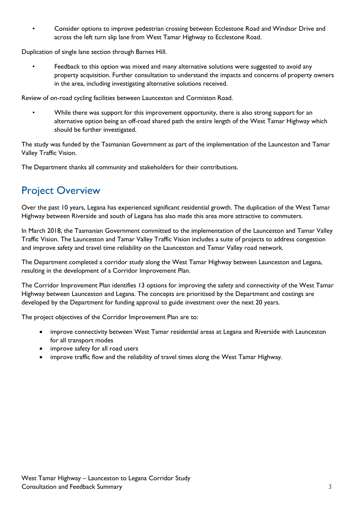• Consider options to improve pedestrian crossing between Ecclestone Road and Windsor Drive and across the left turn slip lane from West Tamar Highway to Ecclestone Road.

Duplication of single lane section through Barnes Hill.

• Feedback to this option was mixed and many alternative solutions were suggested to avoid any property acquisition. Further consultation to understand the impacts and concerns of property owners in the area, including investigating alternative solutions received.

Review of on-road cycling facilities between Launceston and Cormiston Road.

While there was support for this improvement opportunity, there is also strong support for an alternative option being an off-road shared path the entire length of the West Tamar Highway which should be further investigated.

The study was funded by the Tasmanian Government as part of the implementation of the Launceston and Tamar Valley Traffic Vision.

The Department thanks all community and stakeholders for their contributions.

## Project Overview

Over the past 10 years, Legana has experienced significant residential growth. The duplication of the West Tamar Highway between Riverside and south of Legana has also made this area more attractive to commuters.

In March 2018, the Tasmanian Government committed to the implementation of the Launceston and Tamar Valley Traffic Vision. The Launceston and Tamar Valley Traffic Vision includes a suite of projects to address congestion and improve safety and travel time reliability on the Launceston and Tamar Valley road network.

The Department completed a corridor study along the West Tamar Highway between Launceston and Legana, resulting in the development of a Corridor Improvement Plan.

The Corridor Improvement Plan identifies 13 options for improving the safety and connectivity of the West Tamar Highway between Launceston and Legana. The concepts are prioritised by the Department and costings are developed by the Department for funding approval to guide investment over the next 20 years.

The project objectives of the Corridor Improvement Plan are to:

- improve connectivity between West Tamar residential areas at Legana and Riverside with Launceston for all transport modes
- improve safety for all road users
- improve traffic flow and the reliability of travel times along the West Tamar Highway.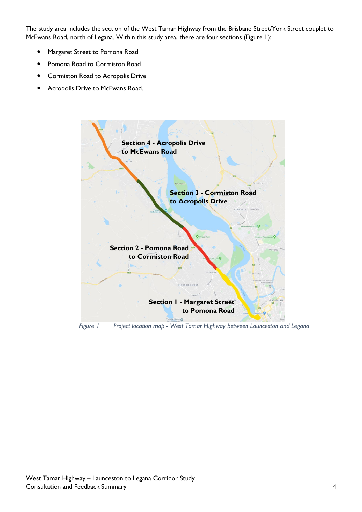The study area includes the section of the West Tamar Highway from the Brisbane Street/York Street couplet to McEwans Road, north of Legana. Within this study area, there are four sections (Figure 1):

- Margaret Street to Pomona Road
- Pomona Road to Cormiston Road
- Cormiston Road to Acropolis Drive
- Acropolis Drive to McEwans Road.



 *Figure 1 Project location map - West Tamar Highway between Launceston and Legana*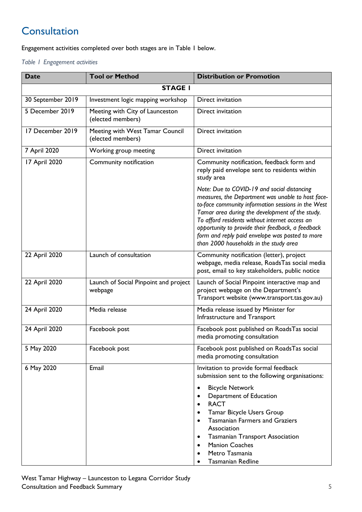# **Consultation**

Engagement activities completed over both stages are in [Table 1](#page-4-0) below.

<span id="page-4-0"></span>*Table 1 Engagement activities*

| <b>Date</b>       | <b>Tool or Method</b>                                | <b>Distribution or Promotion</b>                                                                                                                                                                                                                                                                                                                                                                              |  |  |
|-------------------|------------------------------------------------------|---------------------------------------------------------------------------------------------------------------------------------------------------------------------------------------------------------------------------------------------------------------------------------------------------------------------------------------------------------------------------------------------------------------|--|--|
| <b>STAGE I</b>    |                                                      |                                                                                                                                                                                                                                                                                                                                                                                                               |  |  |
| 30 September 2019 | Investment logic mapping workshop                    | Direct invitation                                                                                                                                                                                                                                                                                                                                                                                             |  |  |
| 5 December 2019   | Meeting with City of Launceston<br>(elected members) | Direct invitation                                                                                                                                                                                                                                                                                                                                                                                             |  |  |
| 17 December 2019  | Meeting with West Tamar Council<br>(elected members) | Direct invitation                                                                                                                                                                                                                                                                                                                                                                                             |  |  |
| 7 April 2020      | Working group meeting                                | Direct invitation                                                                                                                                                                                                                                                                                                                                                                                             |  |  |
| 17 April 2020     | Community notification                               | Community notification, feedback form and<br>reply paid envelope sent to residents within<br>study area                                                                                                                                                                                                                                                                                                       |  |  |
|                   |                                                      | Note: Due to COVID-19 and social distancing<br>measures, the Department was unable to host face-<br>to-face community information sessions in the West<br>Tamar area during the development of the study.<br>To afford residents without internet access an<br>opportunity to provide their feedback, a feedback<br>form and reply paid envelope was posted to more<br>than 2000 households in the study area |  |  |
| 22 April 2020     | Launch of consultation                               | Community notification (letter), project<br>webpage, media release, RoadsTas social media<br>post, email to key stakeholders, public notice                                                                                                                                                                                                                                                                   |  |  |
| 22 April 2020     | Launch of Social Pinpoint and project<br>webpage     | Launch of Social Pinpoint interactive map and<br>project webpage on the Department's<br>Transport website (www.transport.tas.gov.au)                                                                                                                                                                                                                                                                          |  |  |
| 24 April 2020     | Media release                                        | Media release issued by Minister for<br>Infrastructure and Transport                                                                                                                                                                                                                                                                                                                                          |  |  |
| 24 April 2020     | Facebook post                                        | Facebook post published on RoadsTas social<br>media promoting consultation                                                                                                                                                                                                                                                                                                                                    |  |  |
| 5 May 2020        | Facebook post                                        | Facebook post published on RoadsTas social<br>media promoting consultation                                                                                                                                                                                                                                                                                                                                    |  |  |
| 6 May 2020        | Email                                                | Invitation to provide formal feedback<br>submission sent to the following organisations:                                                                                                                                                                                                                                                                                                                      |  |  |
|                   |                                                      | <b>Bicycle Network</b><br>$\bullet$<br>Department of Education<br><b>RACT</b><br>$\bullet$<br>Tamar Bicycle Users Group<br><b>Tasmanian Farmers and Graziers</b><br>Association<br><b>Tasmanian Transport Association</b><br>$\bullet$<br><b>Manion Coaches</b><br>$\bullet$<br>Metro Tasmania<br><b>Tasmanian Redline</b>                                                                                    |  |  |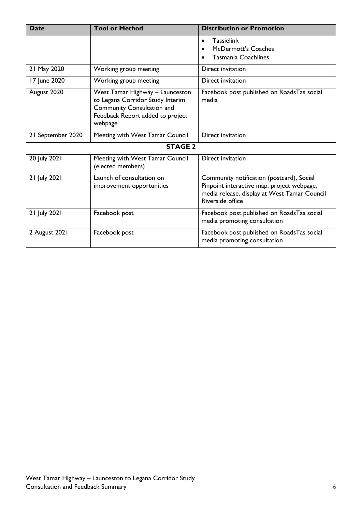| <b>Date</b>                                          | <b>Tool or Method</b>                                                                                                                                   | <b>Distribution or Promotion</b>                                                                                                                            |  |
|------------------------------------------------------|---------------------------------------------------------------------------------------------------------------------------------------------------------|-------------------------------------------------------------------------------------------------------------------------------------------------------------|--|
|                                                      |                                                                                                                                                         | <b>Tassielink</b><br>$\bullet$<br>McDermott's Coaches<br>Tasmania Coachlines.                                                                               |  |
| 21 May 2020                                          | Working group meeting                                                                                                                                   | Direct invitation                                                                                                                                           |  |
| 17 June 2020                                         | Working group meeting                                                                                                                                   | Direct invitation                                                                                                                                           |  |
| August 2020                                          | West Tamar Highway - Launceston<br>to Legana Corridor Study Interim<br><b>Community Consultation and</b><br>Feedback Report added to project<br>webpage | Facebook post published on RoadsTas social<br>media                                                                                                         |  |
| 21 September 2020<br>Meeting with West Tamar Council |                                                                                                                                                         | Direct invitation                                                                                                                                           |  |
|                                                      | <b>STAGE 2</b>                                                                                                                                          |                                                                                                                                                             |  |
| 20 July 2021                                         | Meeting with West Tamar Council<br>(elected members)                                                                                                    | Direct invitation                                                                                                                                           |  |
| 21 July 2021                                         | Launch of consultation on<br>improvement opportunities                                                                                                  | Community notification (postcard), Social<br>Pinpoint interactive map, project webpage,<br>media release, display at West Tamar Council<br>Riverside office |  |
| 21 July 2021                                         | Facebook post                                                                                                                                           | Facebook post published on RoadsTas social<br>media promoting consultation                                                                                  |  |
| 2 August 2021                                        | Facebook post                                                                                                                                           | Facebook post published on RoadsTas social<br>media promoting consultation                                                                                  |  |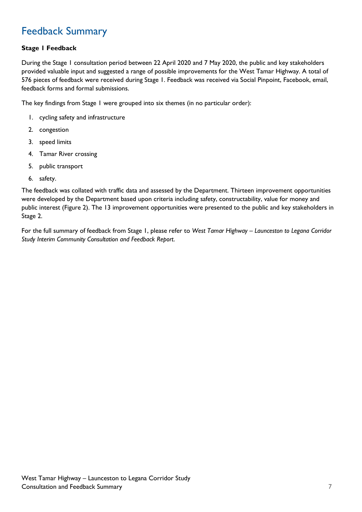## Feedback Summary

## **Stage 1 Feedback**

During the Stage 1 consultation period between 22 April 2020 and 7 May 2020, the public and key stakeholders provided valuable input and suggested a range of possible improvements for the West Tamar Highway. A total of 576 pieces of feedback were received during Stage 1. Feedback was received via Social Pinpoint, Facebook, email, feedback forms and formal submissions.

The key findings from Stage 1 were grouped into six themes (in no particular order):

- 1. cycling safety and infrastructure
- 2. congestion
- 3. speed limits
- 4. Tamar River crossing
- 5. public transport
- 6. safety.

The feedback was collated with traffic data and assessed by the Department. Thirteen improvement opportunities were developed by the Department based upon criteria including safety, constructability, value for money and public interest (Figure 2). The 13 improvement opportunities were presented to the public and key stakeholders in Stage 2.

For the full summary of feedback from Stage 1, please refer to *West Tamar Highway – Launceston to Legana Corridor Study Interim Community Consultation and Feedback Report*.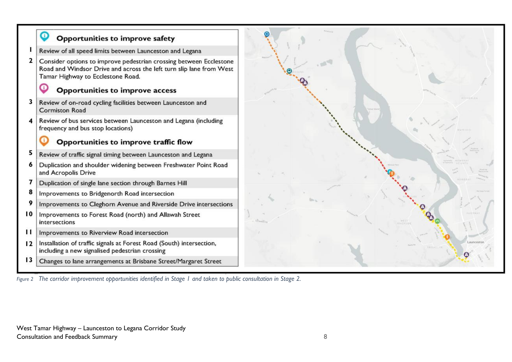

*Figure 2 The corridor improvement opportunities identified in Stage 1 and taken to public consultation in Stage 2.*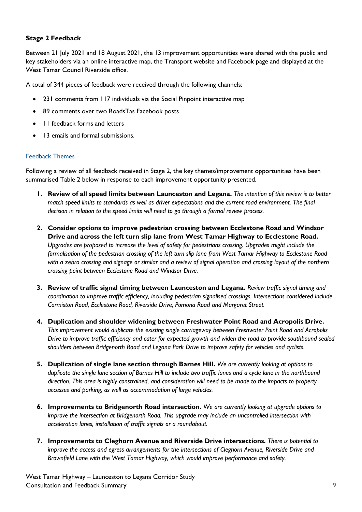## **Stage 2 Feedback**

Between 21 July 2021 and 18 August 2021, the 13 improvement opportunities were shared with the public and key stakeholders via an online interactive map, the Transport website and Facebook page and displayed at the West Tamar Council Riverside office.

A total of 344 pieces of feedback were received through the following channels:

- 231 comments from 117 individuals via the Social Pinpoint interactive map
- 89 comments over two RoadsTas Facebook posts
- 11 feedback forms and letters
- 13 emails and formal submissions.

### Feedback Themes

Following a review of all feedback received in Stage 2, the key themes/improvement opportunities have been summarised Table 2 below in response to each improvement opportunity presented.

- **1. Review of all speed limits between Launceston and Legana.** *The intention of this review is to better match speed limits to standards as well as driver expectations and the current road environment. The final decision in relation to the speed limits will need to go through a formal review process.*
- **2. Consider options to improve pedestrian crossing between Ecclestone Road and Windsor Drive and across the left turn slip lane from West Tamar Highway to Ecclestone Road.** *Upgrades are proposed to increase the level of safety for pedestrians crossing. Upgrades might include the formalisation of the pedestrian crossing of the left turn slip lane from West Tamar Highway to Ecclestone Road*  with a zebra crossing and signage or similar and a review of signal operation and crossing layout of the northern *crossing point between Ecclestone Road and Windsor Drive.*
- **3. Review of traffic signal timing between Launceston and Legana.** *Review traffic signal timing and coordination to improve traffic efficiency, including pedestrian signalised crossings. Intersections considered include Cormiston Road, Ecclestone Road, Riverside Drive, Pomona Road and Margaret Street.*
- **4. Duplication and shoulder widening between Freshwater Point Road and Acropolis Drive.** *This improvement would duplicate the existing single carriageway between Freshwater Point Road and Acropolis Drive to improve traffic efficiency and cater for expected growth and widen the road to provide southbound sealed shoulders between Bridgenorth Road and Legana Park Drive to improve safety for vehicles and cyclists.*
- **5. Duplication of single lane section through Barnes Hill.** *We are currently looking at options to duplicate the single lane section of Barnes Hill to include two traffic lanes and a cycle lane in the northbound direction. This area is highly constrained, and consideration will need to be made to the impacts to property accesses and parking, as well as accommodation of large vehicles.*
- **6. Improvements to Bridgenorth Road intersection.** *We are currently looking at upgrade options to improve the intersection at Bridgenorth Road. This upgrade may include an uncontrolled intersection with acceleration lanes, installation of traffic signals or a roundabout.*
- **7. Improvements to Cleghorn Avenue and Riverside Drive intersections.** *There is potential to improve the access and egress arrangements for the intersections of Cleghorn Avenue, Riverside Drive and Brownfield Lane with the West Tamar Highway, which would improve performance and safety.*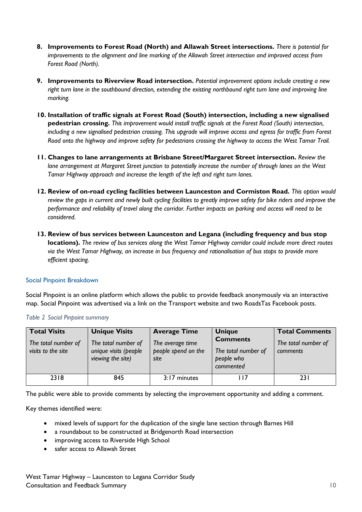- **8. Improvements to Forest Road (North) and Allawah Street intersections.** *There is potential for improvements to the alignment and line marking of the Allawah Street intersection and improved access from Forest Road (North).*
- **9. Improvements to Riverview Road intersection.** *Potential improvement options include creating a new right turn lane in the southbound direction, extending the existing northbound right turn lane and improving line marking.*
- **10. Installation of traffic signals at Forest Road (South) intersection, including a new signalised pedestrian crossing.** *This improvement would install traffic signals at the Forest Road (South) intersection, including a new signalised pedestrian crossing. This upgrade will improve access and egress for traffic from Forest Road onto the highway and improve safety for pedestrians crossing the highway to access the West Tamar Trail.*
- **11. Changes to lane arrangements at Brisbane Street/Margaret Street intersection.** *Review the lane arrangement at Margaret Street junction to potentially increase the number of through lanes on the West Tamar Highway approach and increase the length of the left and right turn lanes.*
- **12. Review of on-road cycling facilities between Launceston and Cormiston Road.** *This option would review the gaps in current and newly built cycling facilities to greatly improve safety for bike riders and improve the performance and reliability of travel along the corridor. Further impacts on parking and access will need to be considered.*
- **13. Review of bus services between Launceston and Legana (including frequency and bus stop locations).** *The review of bus services along the West Tamar Highway corridor could include more direct routes via the West Tamar Highway, an increase in bus frequency and rationalisation of bus stops to provide more efficient spacing.*

### Social Pinpoint Breakdown

Social Pinpoint is an online platform which allows the public to provide feedback anonymously via an interactive map. Social Pinpoint was advertised via a link on the Transport website and two RoadsTas Facebook posts.

| <b>Total Visits</b><br>The total number of<br>visits to the site | <b>Unique Visits</b><br>The total number of<br>unique visits (people<br>viewing the site) | <b>Average Time</b><br>The average time<br>people spend on the<br>site | <b>Unique</b><br><b>Comments</b><br>The total number of<br>people who<br>commented | <b>Total Comments</b><br>The total number of<br>comments |
|------------------------------------------------------------------|-------------------------------------------------------------------------------------------|------------------------------------------------------------------------|------------------------------------------------------------------------------------|----------------------------------------------------------|
| 2318                                                             | 845                                                                                       | 3:17 minutes                                                           | 117                                                                                | 23 I                                                     |

### *Table 2 Social Pinpoint summary*

The public were able to provide comments by selecting the improvement opportunity and adding a comment.

Key themes identified were:

- mixed levels of support for the duplication of the single lane section through Barnes Hill
- a roundabout to be constructed at Bridgenorth Road intersection
- improving access to Riverside High School
- safer access to Allawah Street

West Tamar Highway – Launceston to Legana Corridor Study Consultation and Feedback Summary 10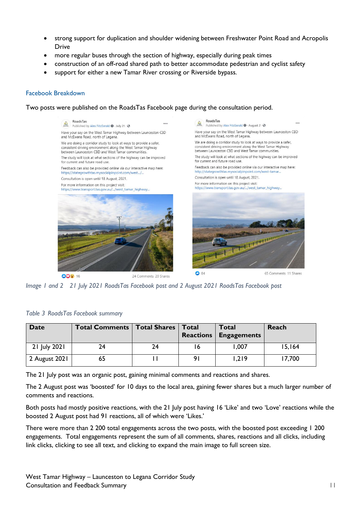- strong support for duplication and shoulder widening between Freshwater Point Road and Acropolis Drive
- more regular buses through the section of highway, especially during peak times
- construction of an off-road shared path to better accommodate pedestrian and cyclist safety
- support for either a new Tamar River crossing or Riverside bypass.

#### Facebook Breakdown

Two posts were published on the RoadsTas Facebook page during the consultation period.



*Image 1 and 2 21 July 2021 RoadsTas Facebook post and 2 August 2021 RoadsTas Facebook post*

| Date          | <b>Total Comments   Total Shares  </b> |    | Total | <b>Total</b><br><b>Reactions Engagements</b> | Reach  |
|---------------|----------------------------------------|----|-------|----------------------------------------------|--------|
| 21 July 2021  | 24                                     | 24 | 16    | 1,007                                        | 15,164 |
| 2 August 2021 |                                        |    |       | 1,219                                        | 17,700 |

#### *Table 3 RoadsTas Facebook summary*

The 21 July post was an organic post, gaining minimal comments and reactions and shares.

The 2 August post was 'boosted' for 10 days to the local area, gaining fewer shares but a much larger number of comments and reactions.

Both posts had mostly positive reactions, with the 21 July post having 16 'Like' and two 'Love' reactions while the boosted 2 August post had 91 reactions, all of which were 'Likes.'

There were more than 2 200 total engagements across the two posts, with the boosted post exceeding 1 200 engagements. Total engagements represent the sum of all comments, shares, reactions and all clicks, including link clicks, clicking to see all text, and clicking to expand the main image to full screen size.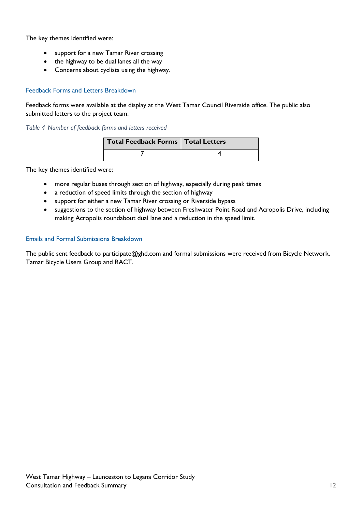The key themes identified were:

- support for a new Tamar River crossing
- the highway to be dual lanes all the way
- Concerns about cyclists using the highway.

## Feedback Forms and Letters Breakdown

Feedback forms were available at the display at the West Tamar Council Riverside office. The public also submitted letters to the project team.

*Table 4 Number of feedback forms and letters received*

| Total Feedback Forms   Total Letters |  |
|--------------------------------------|--|
|                                      |  |

The key themes identified were:

- more regular buses through section of highway, especially during peak times
- a reduction of speed limits through the section of highway
- support for either a new Tamar River crossing or Riverside bypass
- suggestions to the section of highway between Freshwater Point Road and Acropolis Drive, including making Acropolis roundabout dual lane and a reduction in the speed limit.

## Emails and Formal Submissions Breakdown

The public sent feedback to participate@ghd.com and formal submissions were received from Bicycle Network, Tamar Bicycle Users Group and RACT.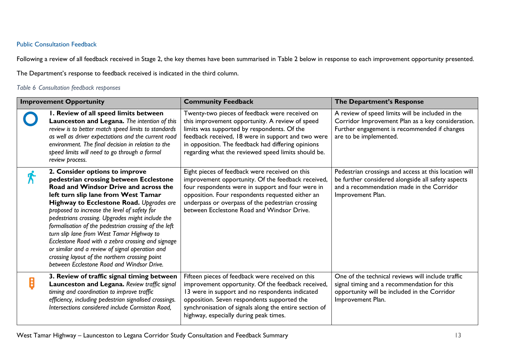## Public Consultation Feedback

Following a review of all feedback received in Stage 2, the key themes have been summarised in Table 2 below in response to each improvement opportunity presented.

The Department's response to feedback received is indicated in the third column.

## *Table 6 Consultation feedback responses*

| <b>Improvement Opportunity</b> |                                                                                                                                                                                                                                                                                                                                                                                                                                                                                                                                                                                                                       | <b>Community Feedback</b>                                                                                                                                                                                                                                                                                           | The Department's Response                                                                                                                                                       |
|--------------------------------|-----------------------------------------------------------------------------------------------------------------------------------------------------------------------------------------------------------------------------------------------------------------------------------------------------------------------------------------------------------------------------------------------------------------------------------------------------------------------------------------------------------------------------------------------------------------------------------------------------------------------|---------------------------------------------------------------------------------------------------------------------------------------------------------------------------------------------------------------------------------------------------------------------------------------------------------------------|---------------------------------------------------------------------------------------------------------------------------------------------------------------------------------|
|                                | I. Review of all speed limits between<br>Launceston and Legana. The intention of this<br>review is to better match speed limits to standards<br>as well as driver expectations and the current road<br>environment. The final decision in relation to the<br>speed limits will need to go through a formal<br>review process.                                                                                                                                                                                                                                                                                         | Twenty-two pieces of feedback were received on<br>this improvement opportunity. A review of speed<br>limits was supported by respondents. Of the<br>feedback received, 18 were in support and two were<br>in opposition. The feedback had differing opinions<br>regarding what the reviewed speed limits should be. | A review of speed limits will be included in the<br>Corridor Improvement Plan as a key consideration.<br>Further engagement is recommended if changes<br>are to be implemented. |
|                                | 2. Consider options to improve<br>pedestrian crossing between Ecclestone<br>Road and Windsor Drive and across the<br>left turn slip lane from West Tamar<br>Highway to Ecclestone Road. Upgrades are<br>proposed to increase the level of safety for<br>pedestrians crossing. Upgrades might include the<br>formalisation of the pedestrian crossing of the left<br>turn slip lane from West Tamar Highway to<br>Ecclestone Road with a zebra crossing and signage<br>or similar and a review of signal operation and<br>crossing layout of the northern crossing point<br>between Ecclestone Road and Windsor Drive. | Eight pieces of feedback were received on this<br>improvement opportunity. Of the feedback received,<br>four respondents were in support and four were in<br>opposition. Four respondents requested either an<br>underpass or overpass of the pedestrian crossing<br>between Ecclestone Road and Windsor Drive.     | Pedestrian crossings and access at this location will<br>be further considered alongside all safety aspects<br>and a recommendation made in the Corridor<br>Improvement Plan.   |
| B                              | 3. Review of traffic signal timing between<br>Launceston and Legana. Review traffic signal<br>timing and coordination to improve traffic<br>efficiency, including pedestrian signalised crossings.<br>Intersections considered include Cormiston Road,                                                                                                                                                                                                                                                                                                                                                                | Fifteen pieces of feedback were received on this<br>improvement opportunity. Of the feedback received,<br>13 were in support and no respondents indicated<br>opposition. Seven respondents supported the<br>synchronisation of signals along the entire section of<br>highway, especially during peak times.        | One of the technical reviews will include traffic<br>signal timing and a recommendation for this<br>opportunity will be included in the Corridor<br>Improvement Plan.           |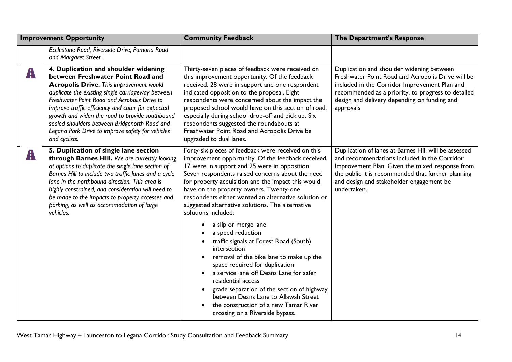| <b>Improvement Opportunity</b> |                                                                                                                                                                                                                                                                                                                                                                                                                                                                | <b>Community Feedback</b>                                                                                                                                                                                                                                                                                                                                                                                                                                                                                                                                                                                                                                                                                                                                                                                                                                                | The Department's Response                                                                                                                                                                                                                                                |
|--------------------------------|----------------------------------------------------------------------------------------------------------------------------------------------------------------------------------------------------------------------------------------------------------------------------------------------------------------------------------------------------------------------------------------------------------------------------------------------------------------|--------------------------------------------------------------------------------------------------------------------------------------------------------------------------------------------------------------------------------------------------------------------------------------------------------------------------------------------------------------------------------------------------------------------------------------------------------------------------------------------------------------------------------------------------------------------------------------------------------------------------------------------------------------------------------------------------------------------------------------------------------------------------------------------------------------------------------------------------------------------------|--------------------------------------------------------------------------------------------------------------------------------------------------------------------------------------------------------------------------------------------------------------------------|
|                                | Ecclestone Road, Riverside Drive, Pomona Road<br>and Margaret Street.                                                                                                                                                                                                                                                                                                                                                                                          |                                                                                                                                                                                                                                                                                                                                                                                                                                                                                                                                                                                                                                                                                                                                                                                                                                                                          |                                                                                                                                                                                                                                                                          |
| A                              | 4. Duplication and shoulder widening<br>between Freshwater Point Road and<br><b>Acropolis Drive.</b> This improvement would<br>duplicate the existing single carriageway between<br>Freshwater Point Road and Acropolis Drive to<br>improve traffic efficiency and cater for expected<br>growth and widen the road to provide southbound<br>sealed shoulders between Bridgenorth Road and<br>Legana Park Drive to improve safety for vehicles<br>and cyclists. | Thirty-seven pieces of feedback were received on<br>this improvement opportunity. Of the feedback<br>received, 28 were in support and one respondent<br>indicated opposition to the proposal. Eight<br>respondents were concerned about the impact the<br>proposed school would have on this section of road,<br>especially during school drop-off and pick up. Six<br>respondents suggested the roundabouts at<br>Freshwater Point Road and Acropolis Drive be<br>upgraded to dual lanes.                                                                                                                                                                                                                                                                                                                                                                               | Duplication and shoulder widening between<br>Freshwater Point Road and Acropolis Drive will be<br>included in the Corridor Improvement Plan and<br>recommended as a priority, to progress to detailed<br>design and delivery depending on funding and<br>approvals       |
| A                              | 5. Duplication of single lane section<br>through Barnes Hill. We are currently looking<br>at options to duplicate the single lane section of<br>Barnes Hill to include two traffic lanes and a cycle<br>lane in the northbound direction. This area is<br>highly constrained, and consideration will need to<br>be made to the impacts to property accesses and<br>parking, as well as accommodation of large<br>vehicles.                                     | Forty-six pieces of feedback were received on this<br>improvement opportunity. Of the feedback received,<br>17 were in support and 25 were in opposition.<br>Seven respondents raised concerns about the need<br>for property acquisition and the impact this would<br>have on the property owners. Twenty-one<br>respondents either wanted an alternative solution or<br>suggested alternative solutions. The alternative<br>solutions included:<br>a slip or merge lane<br>a speed reduction<br>traffic signals at Forest Road (South)<br>intersection<br>removal of the bike lane to make up the<br>space required for duplication<br>a service lane off Deans Lane for safer<br>residential access<br>grade separation of the section of highway<br>between Deans Lane to Allawah Street<br>the construction of a new Tamar River<br>crossing or a Riverside bypass. | Duplication of lanes at Barnes Hill will be assessed<br>and recommendations included in the Corridor<br>Improvement Plan. Given the mixed response from<br>the public it is recommended that further planning<br>and design and stakeholder engagement be<br>undertaken. |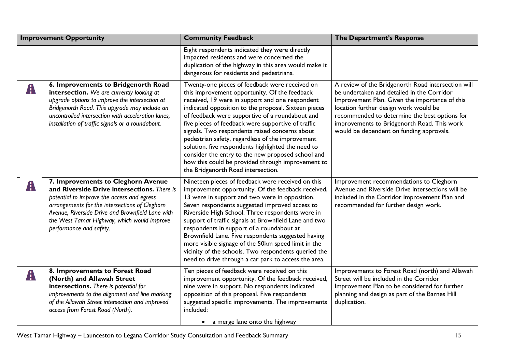| <b>Improvement Opportunity</b> |                                                                                                                                                                                                                                                                                                                 | <b>Community Feedback</b>                                                                                                                                                                                                                                                                                                                                                                                                                                                                                                                                                                                                       | The Department's Response                                                                                                                                                                                                                                                                                                               |
|--------------------------------|-----------------------------------------------------------------------------------------------------------------------------------------------------------------------------------------------------------------------------------------------------------------------------------------------------------------|---------------------------------------------------------------------------------------------------------------------------------------------------------------------------------------------------------------------------------------------------------------------------------------------------------------------------------------------------------------------------------------------------------------------------------------------------------------------------------------------------------------------------------------------------------------------------------------------------------------------------------|-----------------------------------------------------------------------------------------------------------------------------------------------------------------------------------------------------------------------------------------------------------------------------------------------------------------------------------------|
|                                |                                                                                                                                                                                                                                                                                                                 | Eight respondents indicated they were directly<br>impacted residents and were concerned the<br>duplication of the highway in this area would make it<br>dangerous for residents and pedestrians.                                                                                                                                                                                                                                                                                                                                                                                                                                |                                                                                                                                                                                                                                                                                                                                         |
| A                              | 6. Improvements to Bridgenorth Road<br>intersection. We are currently looking at<br>upgrade options to improve the intersection at<br>Bridgenorth Road. This upgrade may include an<br>uncontrolled intersection with acceleration lanes,<br>installation of traffic signals or a roundabout.                   | Twenty-one pieces of feedback were received on<br>this improvement opportunity. Of the feedback<br>received, 19 were in support and one respondent<br>indicated opposition to the proposal. Sixteen pieces<br>of feedback were supportive of a roundabout and<br>five pieces of feedback were supportive of traffic<br>signals. Two respondents raised concerns about<br>pedestrian safety, regardless of the improvement<br>solution. five respondents highlighted the need to<br>consider the entry to the new proposed school and<br>how this could be provided through improvement to<br>the Bridgenorth Road intersection. | A review of the Bridgenorth Road intersection will<br>be undertaken and detailed in the Corridor<br>Improvement Plan. Given the importance of this<br>location further design work would be<br>recommended to determine the best options for<br>improvements to Bridgenorth Road. This work<br>would be dependent on funding approvals. |
| A                              | 7. Improvements to Cleghorn Avenue<br>and Riverside Drive intersections. There is<br>potential to improve the access and egress<br>arrangements for the intersections of Cleghorn<br>Avenue, Riverside Drive and Brownfield Lane with<br>the West Tamar Highway, which would improve<br>performance and safety. | Nineteen pieces of feedback were received on this<br>improvement opportunity. Of the feedback received,<br>13 were in support and two were in opposition.<br>Seven respondents suggested improved access to<br>Riverside High School. Three respondents were in<br>support of traffic signals at Brownfield Lane and two<br>respondents in support of a roundabout at<br>Brownfield Lane. Five respondents suggested having<br>more visible signage of the 50km speed limit in the<br>vicinity of the schools. Two respondents queried the<br>need to drive through a car park to access the area.                              | Improvement recommendations to Cleghorn<br>Avenue and Riverside Drive intersections will be<br>included in the Corridor Improvement Plan and<br>recommended for further design work.                                                                                                                                                    |
| A                              | 8. Improvements to Forest Road<br>(North) and Allawah Street<br>intersections. There is potential for<br>improvements to the alignment and line marking<br>of the Allawah Street intersection and improved<br>access from Forest Road (North).                                                                  | Ten pieces of feedback were received on this<br>improvement opportunity. Of the feedback received,<br>nine were in support. No respondents indicated<br>opposition of this proposal. Five respondents<br>suggested specific improvements. The improvements<br>included:<br>a merge lane onto the highway                                                                                                                                                                                                                                                                                                                        | Improvements to Forest Road (north) and Allawah<br>Street will be included in the Corridor<br>Improvement Plan to be considered for further<br>planning and design as part of the Barnes Hill<br>duplication.                                                                                                                           |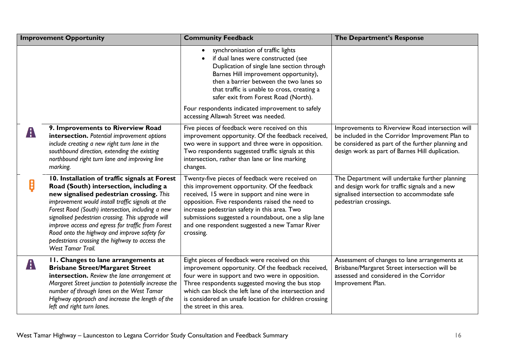| <b>Improvement Opportunity</b> |                                                                                                                                                                                                                                                                                                                                                                                                                                                                               | <b>Community Feedback</b>                                                                                                                                                                                                                                                                                                                                                  | The Department's Response                                                                                                                                                                                   |
|--------------------------------|-------------------------------------------------------------------------------------------------------------------------------------------------------------------------------------------------------------------------------------------------------------------------------------------------------------------------------------------------------------------------------------------------------------------------------------------------------------------------------|----------------------------------------------------------------------------------------------------------------------------------------------------------------------------------------------------------------------------------------------------------------------------------------------------------------------------------------------------------------------------|-------------------------------------------------------------------------------------------------------------------------------------------------------------------------------------------------------------|
|                                |                                                                                                                                                                                                                                                                                                                                                                                                                                                                               | synchronisation of traffic lights<br>if dual lanes were constructed (see<br>Duplication of single lane section through<br>Barnes Hill improvement opportunity),<br>then a barrier between the two lanes so<br>that traffic is unable to cross, creating a<br>safer exit from Forest Road (North).<br>Four respondents indicated improvement to safely                      |                                                                                                                                                                                                             |
|                                |                                                                                                                                                                                                                                                                                                                                                                                                                                                                               | accessing Allawah Street was needed.                                                                                                                                                                                                                                                                                                                                       |                                                                                                                                                                                                             |
| $\mathbf{A}$                   | 9. Improvements to Riverview Road<br>intersection. Potential improvement options<br>include creating a new right turn lane in the<br>southbound direction, extending the existing<br>northbound right turn lane and improving line<br>marking.                                                                                                                                                                                                                                | Five pieces of feedback were received on this<br>improvement opportunity. Of the feedback received,<br>two were in support and three were in opposition.<br>Two respondents suggested traffic signals at this<br>intersection, rather than lane or line marking<br>changes.                                                                                                | Improvements to Riverview Road intersection will<br>be included in the Corridor Improvement Plan to<br>be considered as part of the further planning and<br>design work as part of Barnes Hill duplication. |
|                                | 10. Installation of traffic signals at Forest<br>Road (South) intersection, including a<br>new signalised pedestrian crossing. This<br>improvement would install traffic signals at the<br>Forest Road (South) intersection, including a new<br>signalised pedestrian crossing. This upgrade will<br>improve access and egress for traffic from Forest<br>Road onto the highway and improve safety for<br>pedestrians crossing the highway to access the<br>West Tamar Trail. | Twenty-five pieces of feedback were received on<br>this improvement opportunity. Of the feedback<br>received, 15 were in support and nine were in<br>opposition. Five respondents raised the need to<br>increase pedestrian safety in this area. Two<br>submissions suggested a roundabout, one a slip lane<br>and one respondent suggested a new Tamar River<br>crossing. | The Department will undertake further planning<br>and design work for traffic signals and a new<br>signalised intersection to accommodate safe<br>pedestrian crossings.                                     |
| $\mathbf{A}$                   | II. Changes to lane arrangements at<br><b>Brisbane Street/Margaret Street</b><br>intersection. Review the lane arrangement at<br>Margaret Street junction to potentially increase the<br>number of through lanes on the West Tamar<br>Highway approach and increase the length of the<br>left and right turn lanes.                                                                                                                                                           | Eight pieces of feedback were received on this<br>improvement opportunity. Of the feedback received,<br>four were in support and two were in opposition.<br>Three respondents suggested moving the bus stop<br>which can block the left lane of the intersection and<br>is considered an unsafe location for children crossing<br>the street in this area.                 | Assessment of changes to lane arrangements at<br>Brisbane/Margaret Street intersection will be<br>assessed and considered in the Corridor<br>Improvement Plan.                                              |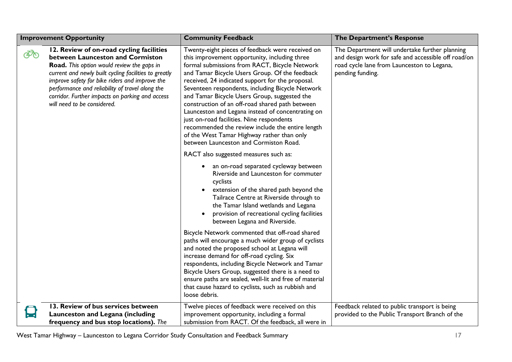| <b>Improvement Opportunity</b> |                                                                                                                                                                                                                                                                                                                                                                            | <b>Community Feedback</b>                                                                                                                                                                                                                                                                                                                                                                                                                                                                                                                                                                                                                                     | The Department's Response                                                                                                                                               |
|--------------------------------|----------------------------------------------------------------------------------------------------------------------------------------------------------------------------------------------------------------------------------------------------------------------------------------------------------------------------------------------------------------------------|---------------------------------------------------------------------------------------------------------------------------------------------------------------------------------------------------------------------------------------------------------------------------------------------------------------------------------------------------------------------------------------------------------------------------------------------------------------------------------------------------------------------------------------------------------------------------------------------------------------------------------------------------------------|-------------------------------------------------------------------------------------------------------------------------------------------------------------------------|
| ෯                              | 12. Review of on-road cycling facilities<br>between Launceston and Cormiston<br>Road. This option would review the gaps in<br>current and newly built cycling facilities to greatly<br>improve safety for bike riders and improve the<br>performance and reliability of travel along the<br>corridor. Further impacts on parking and access<br>will need to be considered. | Twenty-eight pieces of feedback were received on<br>this improvement opportunity, including three<br>formal submissions from RACT, Bicycle Network<br>and Tamar Bicycle Users Group. Of the feedback<br>received, 24 indicated support for the proposal.<br>Seventeen respondents, including Bicycle Network<br>and Tamar Bicycle Users Group, suggested the<br>construction of an off-road shared path between<br>Launceston and Legana instead of concentrating on<br>just on-road facilities. Nine respondents<br>recommended the review include the entire length<br>of the West Tamar Highway rather than only<br>between Launceston and Cormiston Road. | The Department will undertake further planning<br>and design work for safe and accessible off road/on<br>road cycle lane from Launceston to Legana,<br>pending funding. |
|                                |                                                                                                                                                                                                                                                                                                                                                                            | RACT also suggested measures such as:<br>an on-road separated cycleway between<br>$\bullet$<br>Riverside and Launceston for commuter<br>cyclists<br>extension of the shared path beyond the<br>Tailrace Centre at Riverside through to<br>the Tamar Island wetlands and Legana<br>provision of recreational cycling facilities<br>between Legana and Riverside.                                                                                                                                                                                                                                                                                               |                                                                                                                                                                         |
|                                |                                                                                                                                                                                                                                                                                                                                                                            | Bicycle Network commented that off-road shared<br>paths will encourage a much wider group of cyclists<br>and noted the proposed school at Legana will<br>increase demand for off-road cycling. Six<br>respondents, including Bicycle Network and Tamar<br>Bicycle Users Group, suggested there is a need to<br>ensure paths are sealed, well-lit and free of material<br>that cause hazard to cyclists, such as rubbish and<br>loose debris.                                                                                                                                                                                                                  |                                                                                                                                                                         |
|                                | 13. Review of bus services between<br>Launceston and Legana (including<br>frequency and bus stop locations). The                                                                                                                                                                                                                                                           | Twelve pieces of feedback were received on this<br>improvement opportunity, including a formal<br>submission from RACT. Of the feedback, all were in                                                                                                                                                                                                                                                                                                                                                                                                                                                                                                          | Feedback related to public transport is being<br>provided to the Public Transport Branch of the                                                                         |

West Tamar Highway – Launceston to Legana Corridor Study Consultation and Feedback Summary 17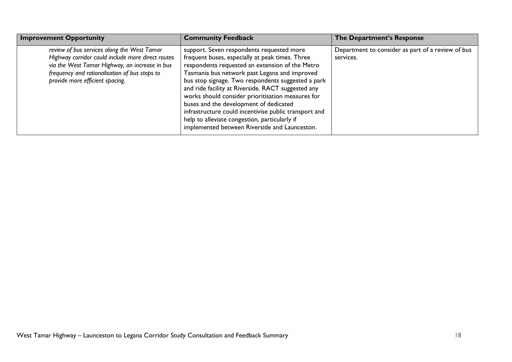| <b>Improvement Opportunity</b>                                                                                                                                                                                                         | <b>Community Feedback</b>                                                                                                                                                                                                                                                                                                                                                                                                                                                                                                                                              | The Department's Response                                      |
|----------------------------------------------------------------------------------------------------------------------------------------------------------------------------------------------------------------------------------------|------------------------------------------------------------------------------------------------------------------------------------------------------------------------------------------------------------------------------------------------------------------------------------------------------------------------------------------------------------------------------------------------------------------------------------------------------------------------------------------------------------------------------------------------------------------------|----------------------------------------------------------------|
| review of bus services along the West Tamar<br>Highway corridor could include more direct routes<br>via the West Tamar Highway, an increase in bus<br>frequency and rationalisation of bus stops to<br>provide more efficient spacing. | support. Seven respondents requested more<br>frequent buses, especially at peak times. Three<br>respondents requested an extension of the Metro<br>Tasmania bus network past Legana and improved<br>bus stop signage. Two respondents suggested a park<br>and ride facility at Riverside. RACT suggested any<br>works should consider prioritisation measures for<br>buses and the development of dedicated<br>infrastructure could incentivise public transport and<br>help to alleviate congestion, particularly if<br>implemented between Riverside and Launceston. | Department to consider as part of a review of bus<br>services. |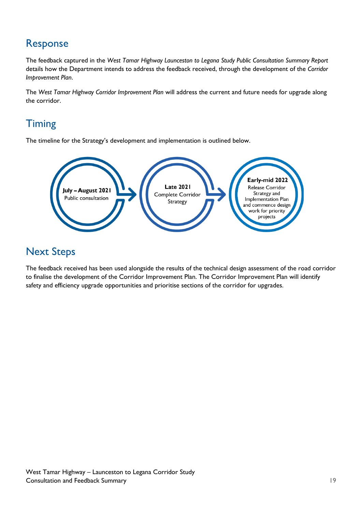## Response

The feedback captured in the *West Tamar Highway Launceston to Legana Study Public Consultation Summary Report* details how the Department intends to address the feedback received, through the development of the *Corridor Improvement Plan*.

The *West Tamar Highway Corridor Improvement Plan* will address the current and future needs for upgrade along the corridor.

# **Timing**

The timeline for the Strategy's development and implementation is outlined below.



## Next Steps

The feedback received has been used alongside the results of the technical design assessment of the road corridor to finalise the development of the Corridor Improvement Plan. The Corridor Improvement Plan will identify safety and efficiency upgrade opportunities and prioritise sections of the corridor for upgrades.